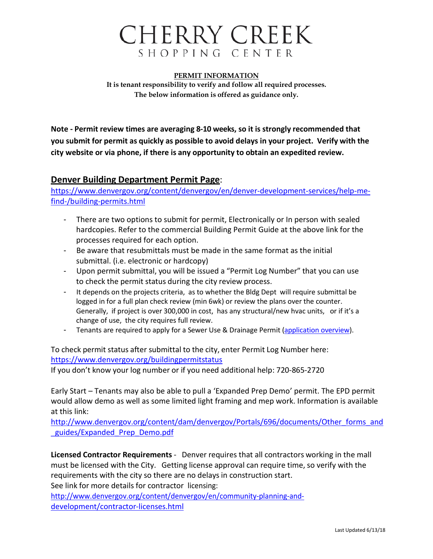## CHERRY CREEK SHOPPING CENTER

**PERMIT INFORMATION It is tenant responsibility to verify and follow all required processes. The below information is offered as guidance only.**

**Note - Permit review times are averaging 8-10 weeks, so it is strongly recommended that you submit for permit as quickly as possible to avoid delays in your project. Verify with the city website or via phone, if there is any opportunity to obtain an expedited review.**

### **Denver Building Department Permit Page**:

[https://www.denvergov.org/content/denvergov/en/denver-development-services/help-me](https://www.denvergov.org/content/denvergov/en/denver-development-services/help-me-find-/building-permits.html)[find-/building-permits.html](https://www.denvergov.org/content/denvergov/en/denver-development-services/help-me-find-/building-permits.html)

- There are two options to submit for permit, Electronically or In person with sealed hardcopies. Refer to the commercial Building Permit Guide at the above link for the processes required for each option.
- Be aware that resubmittals must be made in the same format as the initial submittal. (i.e. electronic or hardcopy)
- Upon permit submittal, you will be issued a "Permit Log Number" that you can use to check the permit status during the city review process.
- It depends on the projects criteria, as to whether the Bldg Dept will require submittal be logged in for a full plan check review (min 6wk) or review the plans over the counter. Generally, if project is over 300,000 in cost, has any structural/new hvac units, or if it's a change of use, the city requires full review.
- Tenants are required to apply for a Sewer Use & Drainage Permit [\(application](https://www.denvergov.org/content/dam/denvergov/Portals/696/documents/SUDP/Commercial_Multi-Residential_General_Guidelines.pdf) overview).

To check permit status after submittal to the city, enter Permit Log Number here: <https://www.denvergov.org/buildingpermitstatus>

If you don't know your log number or if you need additional help: 720-865-2720

Early Start – Tenants may also be able to pull a 'Expanded Prep Demo' permit. The EPD permit would allow demo as well as some limited light framing and mep work. Information is available at this link:

[http://www.denvergov.org/content/dam/denvergov/Portals/696/documents/Other\\_forms\\_and](http://www.denvergov.org/content/dam/denvergov/Portals/696/documents/Other_forms_and_guides/Expanded_Prep_Demo.pdf) guides/Expanded Prep Demo.pdf

**Licensed Contractor Requirements** - Denver requires that all contractors working in the mall must be licensed with the City. Getting license approval can require time, so verify with the requirements with the city so there are no delays in construction start. See link for more details for contractor licensing:

[http://www.denvergov.org/content/denvergov/en/community-planning-and](http://www.denvergov.org/content/denvergov/en/community-planning-and-development/contractor-licenses.html)[development/contractor-licenses.html](http://www.denvergov.org/content/denvergov/en/community-planning-and-development/contractor-licenses.html)

Last Updated 6/13/18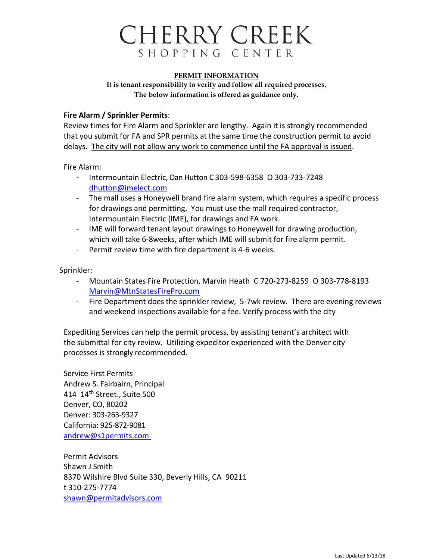# CHERRY CREEK SHOPPING CENTER

#### **PERMIT INFORMATION**

**It is tenant responsibility to verify and follow all required processes. The below information is offered as guidance only.**

### **Fire Alarm / Sprinkler Permits**:

Review times for Fire Alarm and Sprinkler are lengthy. Again it is strongly recommended that you submit for FA and SPR permits at the same time the construction permit to avoid delays. The city will not allow any work to commence until the FA approval is issued.

Fire Alarm:

- Intermountain Electric, Dan Hutton C 303-598-6358 O 303-733-7248 [dhutton@imelect.com](mailto:dhutton@imelect.com)
- The mall uses a Honeywell brand fire alarm system, which requires a specific process for drawings and permitting. You must use the mall required contractor, Intermountain Electric (IME), for drawings and FA work.
- IME will forward tenant layout drawings to Honeywell for drawing production, which will take 6-8weeks, after which IME will submit for fire alarm permit.
- Permit review time with fire department is 4-6 weeks.

Sprinkler:

- Mountain States Fire Protection, Marvin Heath C 720-273-8259 O 303-778-8193 [Marvin@MtnStatesFirePro.com](mailto:Marvin@MtnStatesFirePro.com)
- Fire Department does the sprinkler review, 5-7wk review. There are evening reviews and weekend inspections available for a fee. Verify process with the city

Expediting Services can help the permit process, by assisting tenant's architect with the submittal for city review. Utilizing expeditor experienced with the Denver city processes is strongly recommended.

Service First Permits Andrew S. Fairbairn, Principal 414 14<sup>th</sup> Street., Suite 500 Denver, CO, 80202 Denver: 303-263-9327 California: 925-872-9081 [andrew@s1permits.com](mailto:andrew@s1permits.com)

Permit Advisors Shawn J Smith 8370 Wilshire Blvd Suite 330, Beverly Hills, CA 90211 t 310-275-7774 [shawn@permitadvisors.com](mailto:shawn@permitadvisors.com)